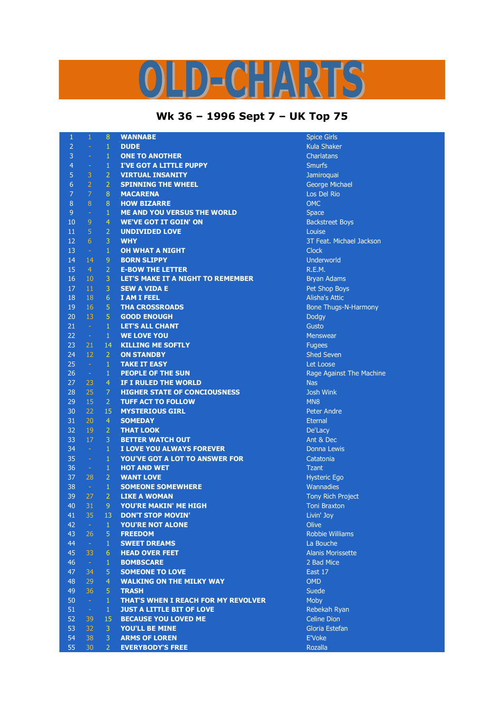## LD-CHARTS

## **Wk 36 – 1996 Sept 7 – UK Top 75**

| 1              | 1                | 8              | <b>WANNABE</b>                        | <b>Spice Girls</b>       |
|----------------|------------------|----------------|---------------------------------------|--------------------------|
| $\overline{2}$ |                  | $\mathbf{1}$   | <b>DUDE</b>                           | Kula Shaker              |
| 3              | ÷,               | $\mathbf{1}$   | <b>ONE TO ANOTHER</b>                 | <b>Charlatans</b>        |
| 4              | ÷                | $\mathbf 1$    | <b>I'VE GOT A LITTLE PUPPY</b>        | <b>Smurfs</b>            |
| 5              | 3                | $\overline{2}$ | <b>VIRTUAL INSANITY</b>               | Jamiroquai               |
| 6              | $\overline{2}$   | $\overline{2}$ | <b>SPINNING THE WHEEL</b>             | <b>George Michael</b>    |
| 7              | $\overline{7}$   | $\bf 8$        | <b>MACARENA</b>                       | Los Del Rio              |
| 8              | $\overline{8}$   | $\bf 8$        | <b>HOW BIZARRE</b>                    | <b>OMC</b>               |
| 9              | ÷                | $\mathbf{1}$   | <b>ME AND YOU VERSUS THE WORLD</b>    | <b>Space</b>             |
| 10             | 9                | $\overline{4}$ | <b>WE'VE GOT IT GOIN' ON</b>          | <b>Backstreet Boys</b>   |
| 11             | 5                | $\overline{2}$ | <b>UNDIVIDED LOVE</b>                 | Louise                   |
| 12             | 6                | 3              | <b>WHY</b>                            | 3T Feat. Michael Jackson |
| 13             | $\omega$         | $\mathbf{1}$   | <b>OH WHAT A NIGHT</b>                | <b>Clock</b>             |
| 14             | 14               | 9              | <b>BORN SLIPPY</b>                    | Underworld               |
| 15             | $\overline{4}$   | $\overline{2}$ | <b>E-BOW THE LETTER</b>               | R.E.M.                   |
| 16             | 10               | 3              | LET'S MAKE IT A NIGHT TO REMEMBER     | <b>Bryan Adams</b>       |
| 17             | 11               | 3              | <b>SEW A VIDA E</b>                   | Pet Shop Boys            |
| 18             | 18               | $\overline{6}$ | <b>I AM I FEEL</b>                    | <b>Alisha's Attic</b>    |
| 19             | 16               | 5              | <b>THA CROSSROADS</b>                 |                          |
| 20             | 13               | 5              | <b>GOOD ENOUGH</b>                    | Bone Thugs-N-Harmony     |
|                |                  | $\mathbf{1}$   |                                       | Dodgy                    |
| 21             | $\sim$           |                | <b>LET'S ALL CHANT</b>                | Gusto                    |
| 22             | $\rightarrow$ .  | $\mathbf{1}$   | <b>WE LOVE YOU</b>                    | <b>Menswear</b>          |
| 23             | 21               | 14             | <b>KILLING ME SOFTLY</b>              | <b>Fugees</b>            |
| 24             | 12               | $\overline{2}$ | <b>ON STANDBY</b>                     | <b>Shed Seven</b>        |
| 25             | $\omega$         | $\mathbf 1$    | <b>TAKE IT EASY</b>                   | Let Loose                |
| 26             | $\omega_{\rm c}$ | $\mathbf 1$    | <b>PEOPLE OF THE SUN</b>              | Rage Against The Machine |
| 27             | 23               | 4              | IF I RULED THE WORLD                  | <b>Nas</b>               |
| 28             | 25               | 7              | <b>HIGHER STATE OF CONCIOUSNESS</b>   | <b>Josh Wink</b>         |
| 29             | 15               | $\overline{2}$ | <b>TUFF ACT TO FOLLOW</b>             | MN <sub>8</sub>          |
| 30             | 22               | 15             | <b>MYSTERIOUS GIRL</b>                | <b>Peter Andre</b>       |
| 31             | 20               | 4              | <b>SOMEDAY</b>                        | <b>Eternal</b>           |
| 32             | 19               | $\overline{2}$ | <b>THAT LOOK</b>                      | De'Lacy                  |
| 33             | 17               | 3              | <b>BETTER WATCH OUT</b>               | Ant & Dec                |
| 34             | $\omega$         | $\mathbf{1}$   | I LOVE YOU ALWAYS FOREVER             | Donna Lewis              |
| 35             | $\equiv$         | $\mathbf{1}$   | <b>YOU'VE GOT A LOT TO ANSWER FOR</b> | Catatonia                |
| 36             | $\sim$           | $\mathbf 1$    | <b>HOT AND WET</b>                    | <b>Tzant</b>             |
| 37             | 28               | $\overline{2}$ | <b>WANT LOVE</b>                      | <b>Hysteric Ego</b>      |
| 38             | $\sim$ $\sim$    | $\mathbf{1}$   | <b>SOMEONE SOMEWHERE</b>              | Wannadies                |
| 39             | 27               | $\overline{2}$ | <b>LIKE A WOMAN</b>                   | <b>Tony Rich Project</b> |
| 40             | 31               | 9              | <b>YOU'RE MAKIN' ME HIGH</b>          | <b>Toni Braxton</b>      |
| 41             | 35               | 13             | <b>DON'T STOP MOVIN'</b>              | Livin' Joy               |
| 42             | $\equiv$         | $\mathbf{1}$   | YOU'RE NOT ALONE                      | Olive                    |
| 43             | 26               | 5              | <b>FREEDOM</b>                        | <b>Robbie Williams</b>   |
| 44             | $\sim$           | 1              | <b>SWEET DREAMS</b>                   | La Bouche                |
| 45             | 33               | 6              | <b>HEAD OVER FEET</b>                 | <b>Alanis Morissette</b> |
| 46             | $\sim$           | 1              | <b>BOMBSCARE</b>                      | 2 Bad Mice               |
| 47             | 34               | 5              | <b>SOMEONE TO LOVE</b>                | East 17                  |
| 48             | 29               | 4              | <b>WALKING ON THE MILKY WAY</b>       | <b>OMD</b>               |
| 49             | 36               | 5              | <b>TRASH</b>                          | <b>Suede</b>             |
| 50             | $\sim$           | $\mathbf{1}$   | THAT'S WHEN I REACH FOR MY REVOLVER   | <b>Moby</b>              |
| 51             | $\pm$            | $\mathbf{1}$   | <b>JUST A LITTLE BIT OF LOVE</b>      | Rebekah Ryan             |
| 52             | 39               | 15             | <b>BECAUSE YOU LOVED ME</b>           | <b>Celine Dion</b>       |
| 53             | 32               | 3              | <b>YOU'LL BE MINE</b>                 | Gloria Estefan           |
| 54             | 38               | 3              | <b>ARMS OF LOREN</b>                  | E'Voke                   |
| 55             | 30               | $\overline{2}$ | <b>EVERYBODY'S FREE</b>               | Rozalla                  |
|                |                  |                |                                       |                          |